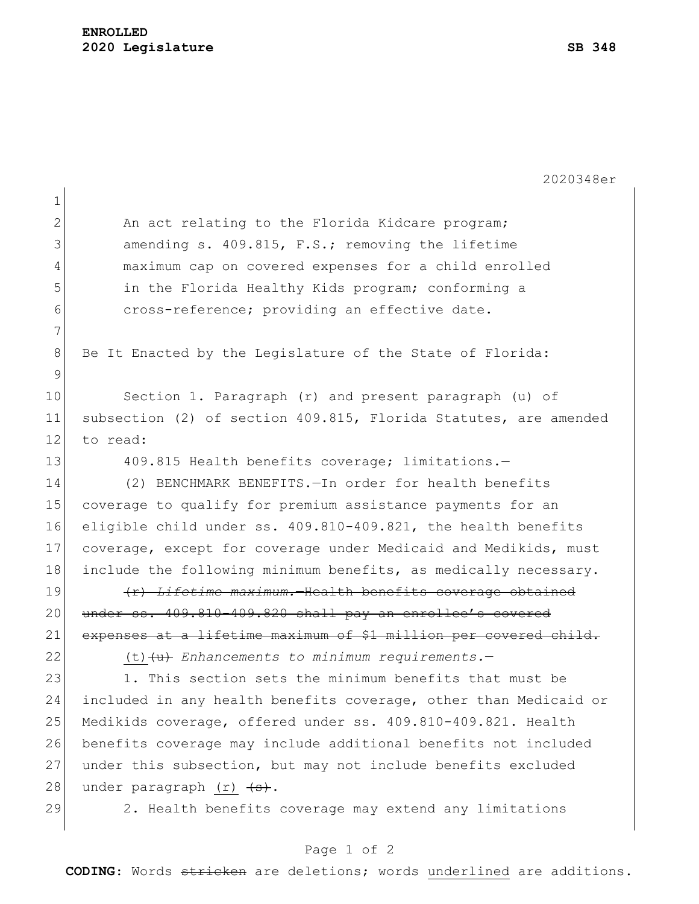2020348er 1 2 An act relating to the Florida Kidcare program; 3 amending s. 409.815, F.S.; removing the lifetime 4 maximum cap on covered expenses for a child enrolled 5 in the Florida Healthy Kids program; conforming a 6 cross-reference; providing an effective date. 7 8 Be It Enacted by the Legislature of the State of Florida: 9 10 Section 1. Paragraph (r) and present paragraph (u) of 11 subsection (2) of section 409.815, Florida Statutes, are amended 12 to read: 13 409.815 Health benefits coverage; limitations.-14 (2) BENCHMARK BENEFITS.—In order for health benefits 15 coverage to qualify for premium assistance payments for an 16 eligible child under ss. 409.810-409.821, the health benefits 17 coverage, except for coverage under Medicaid and Medikids, must 18 include the following minimum benefits, as medically necessary. 19 **(a)**  $\left\{\text{r}\right\}$  *Lifetime maximum.*—Health benefits coverage obtained 20 under ss. 409.810-409.820 shall pay an enrollee's covered 21 expenses at a lifetime maximum of \$1 million per covered child. 22 (t)(u) *Enhancements to minimum requirements.*— 23 1. This section sets the minimum benefits that must be 24 included in any health benefits coverage, other than Medicaid or 25 Medikids coverage, offered under ss. 409.810-409.821. Health 26 benefits coverage may include additional benefits not included 27 under this subsection, but may not include benefits excluded 28 under paragraph  $(r)$   $\left\langle \rightarrow\right\rangle$ . 29 2. Health benefits coverage may extend any limitations

## Page 1 of 2

**CODING**: Words stricken are deletions; words underlined are additions.